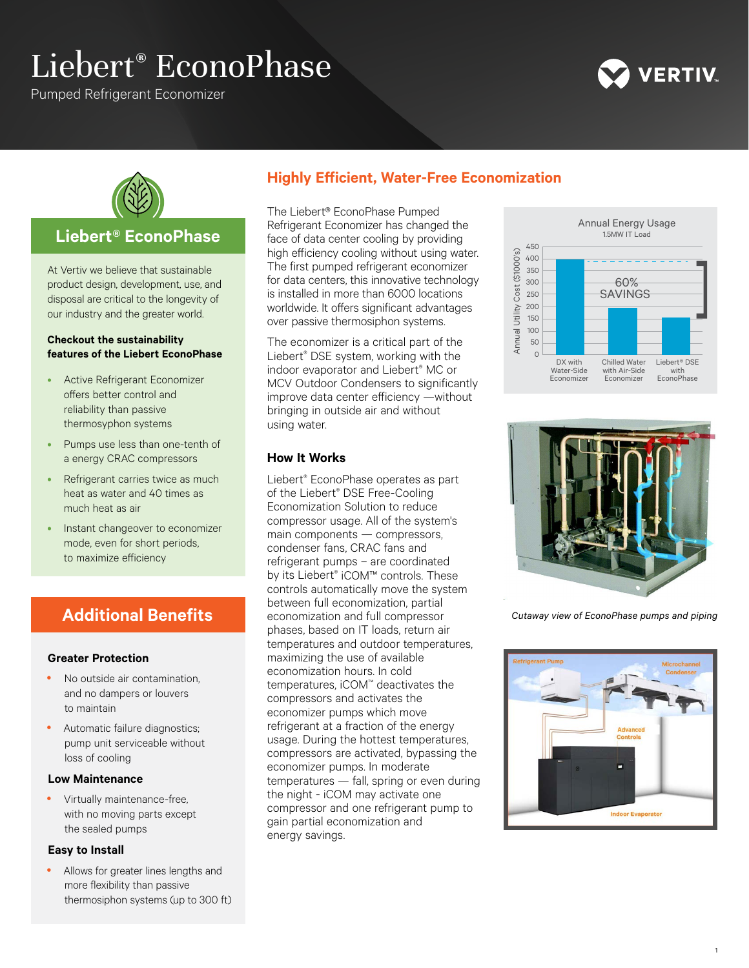# Liebert® EconoPhase

Pumped Refrigerant Economizer





## **Liebert® EconoPhase**

At Vertiv we believe that sustainable product design, development, use, and disposal are critical to the longevity of our industry and the greater world.

#### **Checkout the sustainability features of the Liebert EconoPhase**

- Active Refrigerant Economizer offers better control and reliability than passive thermosyphon systems
- Pumps use less than one-tenth of a energy CRAC compressors
- Refrigerant carries twice as much heat as water and 40 times as much heat as air
- Instant changeover to economizer mode, even for short periods, to maximize efficiency

## **Additional Benefits**

#### **Greater Protection**

- No outside air contamination, and no dampers or louvers to maintain
- Automatic failure diagnostics; pump unit serviceable without loss of cooling

#### **Low Maintenance**

Virtually maintenance-free, with no moving parts except the sealed pumps

#### **Easy to Install**

• Allows for greater lines lengths and more flexibility than passive thermosiphon systems (up to 300 ft)

# **Highly Efficient, Water-Free Economization**

The Liebert® EconoPhase Pumped Refrigerant Economizer has changed the face of data center cooling by providing high efficiency cooling without using water. The first pumped refrigerant economizer for data centers, this innovative technology is installed in more than 6000 locations worldwide. It offers significant advantages over passive thermosiphon systems.

The economizer is a critical part of the Liebert® DSE system, working with the indoor evaporator and Liebert® MC or MCV Outdoor Condensers to significantly improve data center efficiency —without bringing in outside air and without using water.

## **How It Works**

Liebert® EconoPhase operates as part of the Liebert® DSE Free-Cooling Economization Solution to reduce compressor usage. All of the system's main components — compressors, condenser fans, CRAC fans and refrigerant pumps – are coordinated by its Liebert® iCOM™ controls. These controls automatically move the system between full economization, partial economization and full compressor phases, based on IT loads, return air temperatures and outdoor temperatures, maximizing the use of available economization hours. In cold temperatures, iCOM™ deactivates the compressors and activates the economizer pumps which move refrigerant at a fraction of the energy usage. During the hottest temperatures, compressors are activated, bypassing the economizer pumps. In moderate temperatures — fall, spring or even during the night - iCOM may activate one compressor and one refrigerant pump to gain partial economization and energy savings.





*Cutaway view of EconoPhase pumps and piping*



1